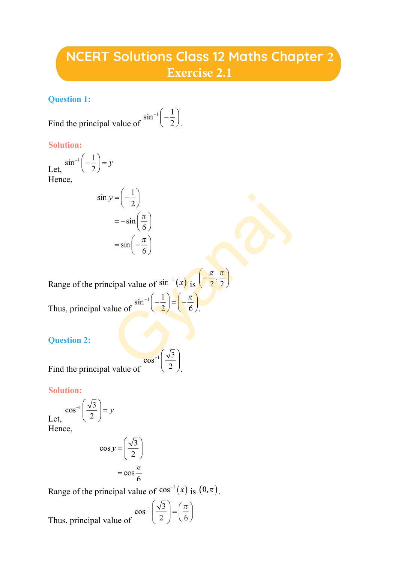# **NCERT Solutions Class 12 Maths Chapter 2 Exercise 2.1**

#### **Question 1:**

Find the principal value of  $\sin^{-1}\left(-\frac{1}{2}\right)$ 

#### **Solution:**

Let,  $\sin^{-1}\left(-\frac{1}{2}\right) = y$ Hence,

$$
\sin y = \left(-\frac{1}{2}\right)
$$

$$
= -\sin\left(\frac{\pi}{6}\right)
$$

$$
= \sin\left(-\frac{\pi}{6}\right)
$$

Range of the principal value of  $\frac{\sin^{-1}(x)}{\sin^{-1}(x)}$  is Thus, principal value of  $\sin^{-1}\left(-\frac{1}{2}\right) = \left(-\frac{\pi}{6}\right)$  $y = \left(-\frac{1}{2}\right)$ <br>  $= -\sin\left(\frac{\pi}{6}\right)$ <br>  $= \sin\left(-\frac{\pi}{6}\right)$ <br>
cipal value of  $\sin^{-1}\left(\frac{1}{2}\right) = \left(-\frac{\pi}{6}\right)$ <br>
alue of  $\frac{\sin^{-1}\left(-\frac{1}{2}\right) = \left(-\frac{\pi}{6}\right)}{2}$ 

## **Question 2:**

Find the principal value of  $\frac{\cos^{-1}(\sqrt{3})}{2}$ 

**Solution:**

$$
\cos^{-1}\left(\frac{\sqrt{3}}{2}\right) = y
$$
  
Hence,

$$
\cos y = \left(\frac{\sqrt{3}}{2}\right)
$$

$$
= \cos \frac{\pi}{6}
$$

Range of the principal value of  $cos^{-1}(x)$  is  $(0, \pi)$ .

value of 
$$
\cos^{-1}\left(\frac{\sqrt{3}}{2}\right) = \left(\frac{\pi}{6}\right)
$$

Thus, principal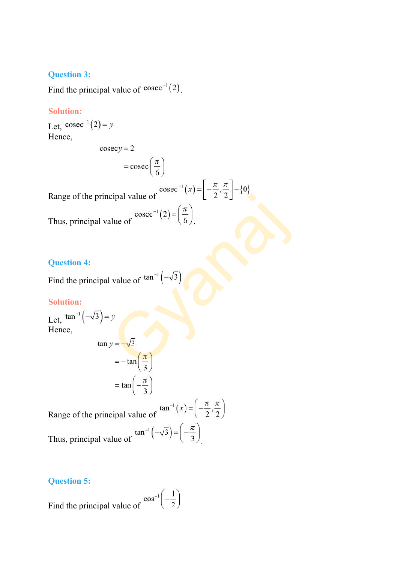#### **Question 3:**

Find the principal value of  $\text{cosec}^{-1}(2)$ .

#### **Solution:**

Let,  $\csc^{-1}(2) = y$ Hence,

$$
\csc y = 2
$$

$$
= \csc\left(\frac{\pi}{6}\right)
$$

Range of the principal value of  $\csc^{-1}(x) = \left[-\frac{\pi}{2}, \frac{\pi}{2}\right] - \{0\}$ Thus, principal value of  $\csc^{-1}(2) = \left(\frac{\pi}{6}\right)$ cipal value of<br>
ulue of  $\csc^{-1}(2) = \left(\frac{\pi}{6}\right)$ <br>
value of  $\tan^{-1}(-\sqrt{3})$ <br>
y<br>
y<br>  $y = -\sqrt{3}$ <br>  $= -\tan\left(\frac{\pi}{3}\right)$ 

#### **Question 4:**

Find the principal value of  $tan^{-1}$   $\left(-\right)$ 

#### **Solution:**

Let,  $\tan^{-1}(-\sqrt{3}) = y$ Hence,

$$
\tan y = -\sqrt{3}
$$

$$
= -\tan\left(\frac{\pi}{3}\right)
$$

$$
= \tan\left(-\frac{\pi}{3}\right)
$$

Range of the principal value of  $\tan^{-1}(x) = \left(-\frac{\pi}{2}, \frac{\pi}{2}\right)$ Thus, principal value of  $\tan^{-1}\left(-\sqrt{3}\right) = \left(-\frac{\pi}{3}\right)$ 

#### **Question 5:**

Find the principal value of  $\frac{\cos^{-1}(-\frac{1}{2})}{\cos^{-1}(-\frac{1}{2})}$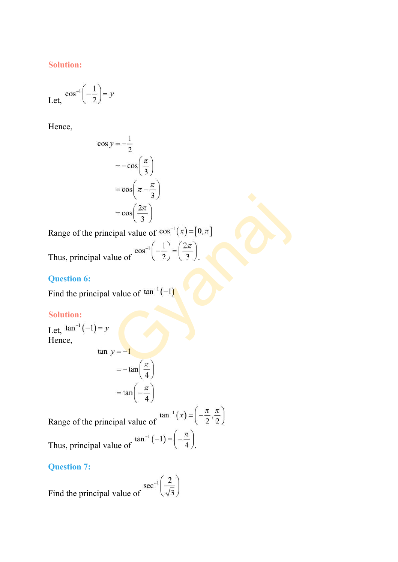#### **Solution:**

$$
\text{Let, } \cos^{-1}\left(-\frac{1}{2}\right) = y
$$

Hence,

$$
\cos y = -\frac{1}{2}
$$
  
= -\cos\left(\frac{\pi}{3}\right)  
= \cos\left(\pi - \frac{\pi}{3}\right)  
= \cos\left(\frac{2\pi}{3}\right)

Range of the principal value of  $cos^{-1}(x) = [0, \pi]$ 

$$
= cos\left(\frac{2\pi}{3}\right)
$$
  
\n
$$
= cos\left(\frac{2\pi}{3}\right)
$$
  
\n
$$
e^{cos^{-1}(\frac{1}{2})} = \frac{2\pi}{3}
$$
  
\nprincipal value of  $cos^{-1}(-\frac{1}{2}) = \frac{2\pi}{3}$ .  
\n  
\n
$$
sin 6:
$$
  
\n
$$
sin^{-1}(-1) = y
$$
  
\n
$$
sin^{-1}(-1) = y
$$
  
\n
$$
tan y = -1
$$
  
\n
$$
tan \left(\frac{\pi}{2}\right)
$$

Thus,  $p$ 

## **Question 6:**

Find the principal value of  $tan^{-1}(-1)$ 

## **Solution:**

Let,  $\tan^{-1}(-1) = y$ Hence,

$$
\tan y = -1
$$
  
=  $-\tan\left(\frac{\pi}{4}\right)$   
=  $\tan\left(-\frac{\pi}{4}\right)$ 

Range of the principal value of  $\tan^{-1}(x) = \left(-\frac{\pi}{2}, \frac{\pi}{2}\right)$ Thus, principal value of  $\tan^{-1}(-1) = \left(-\frac{\pi}{4}\right)$ .

#### **Question 7:**

Find the principal value of  $\sec^{-1}\left(\frac{2}{\sqrt{3}}\right)$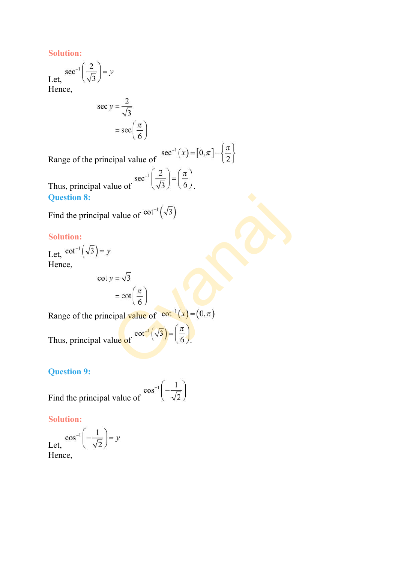**Solution:**

$$
\text{Let, } \frac{\sec^{-1}\left(\frac{2}{\sqrt{3}}\right)}{\text{Hence}} = y
$$

Hence,

$$
\sec y = \frac{2}{\sqrt{3}}
$$

$$
= \sec \left( \frac{\pi}{6} \right)
$$

Range of the principal value of  $\sec^{-1}(x) = [0, \pi] - \left\{\frac{\pi}{2}\right\}$ 

$$
f \sec^{-1}\left(\frac{2}{\sqrt{3}}\right) = \left(\frac{\pi}{6}\right)
$$

Thus, principal value of **Question 8:**

Find the principal value of  $cot^{-1}(\sqrt{3})$ 

## **Solution:**

Let,  $\cot^{-1}(\sqrt{3}) = y$ Hence,

signal value of 
$$
\cot^{-1}(\sqrt{3})
$$

\n
$$
= \cot\left(\frac{\pi}{6}\right)
$$

\nprincipal value of  $\cot^{-1}(x) = (0, \pi)$ 

\nall value of  $\cot^{-1}(\sqrt{3}) = \left(\frac{\pi}{6}\right)$ .

Range of the principal value of  $\cot^{-1}(x) = (0, \pi)$ 

Thus, principal value of  $\cot^{-1}(\sqrt{3}) = \left(\frac{\pi}{6}\right)$ .

## **Question 9:**

Find the principal value of  $\cos^{-1}\left(-\frac{1}{\sqrt{2}}\right)$ 

#### **Solution:**

$$
\text{Let, } \frac{\cos^{-1}\left(-\frac{1}{\sqrt{2}}\right)}{\text{Hence,}}
$$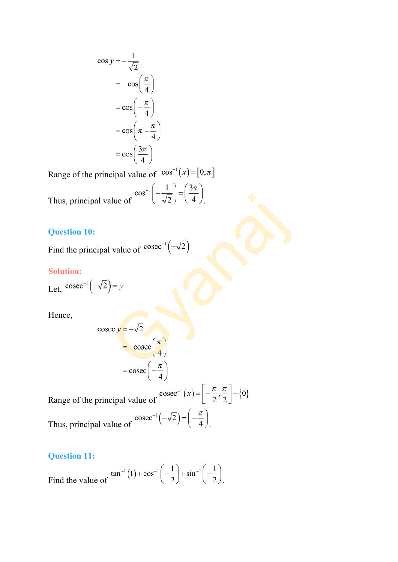$$
\cos y = -\frac{1}{\sqrt{2}}
$$
  
= -\cos\left(\frac{\pi}{4}\right)  
= \cos\left(-\frac{\pi}{4}\right)  
= \cos\left(\pi - \frac{\pi}{4}\right)  
= \cos\left(\frac{3\pi}{4}\right)

Range of the principal value of  $cos^{-1}(x) = [0, \pi]$ 

$$
\cos^{-1}\left(-\frac{1}{\sqrt{2}}\right) = \left(\frac{3\pi}{4}\right)
$$

Thus, principal value of .

## **Question 10:**

Find the principal value of  $\text{cosec}^{-1}(-\sqrt{2})$ 

#### **Solution:**

Let,  $\csc^{-1}(-\sqrt{2}) = y$ 

Hence,

11 value of 
$$
\cos\left(-\frac{\sqrt{2}}{2}\right) - \left(-\frac{\sqrt{2}}{4}\right)
$$
.

\n13 value of  $\csc^{-1}\left(-\sqrt{2}\right)$ 

\n14 value of  $\csc^{-1}\left(-\sqrt{2}\right)$ 

\n154

\n164

\n174

\n184

\n194

\n104

\n114

\n115

\n125

\n136

\n144

\n156

\n164

\n177

\n188

\n199

\n108

\n109

\n119

\n119

\n120

\n130

\n144

\n156

\n164

\n178

\n189

\n199

\n119

\n119

\n119

\n120

\n130

\n147

\n158

\n169

\n179

\n189

\n199

\n199

\n119

\n119

\n119

\n119

\n120

\n130

\n149

\n159

\n169

\n179

\n189

\n199

\n199

\n199

\n199

\n1199

\n1199

\n1199

\n1199

\n1199

\n1199

\n1199

\n1199

\n1199

\n1199

\n1199

\n1199

\n1199

\n1199

\n1199

\n1199

\n1199

Range of the principal value of  $\csc^{-1}(x) = \left[-\frac{\pi}{2}, \frac{\pi}{2}\right] - \{0\}$ Thus, principal value of  $\csc^{-1}(-\sqrt{2}) = \left(-\frac{\pi}{4}\right)$ 

## **Question 11:**

Find the value of  $\tan^{-1}(1) + \cos^{-1}\left(-\frac{1}{2}\right) + \sin^{-1}\left(-\frac{1}{2}\right)$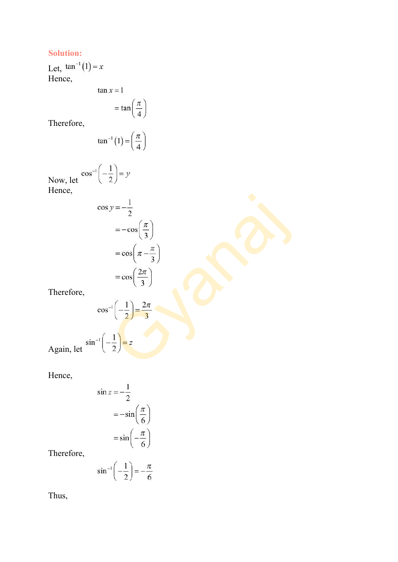#### **Solution:**

Let, Hence,

$$
\tan x = 1
$$

$$
= \tan\left(\frac{\pi}{4}\right)
$$

Therefore,

$$
\tan^{-1}(1) = \left(\frac{\pi}{4}\right)
$$

Now, let  $\cos^{-1}\left(-\frac{1}{2}\right) = y$ Hence,

$$
\cos y = -\frac{1}{2}
$$
  
= -\cos\left(\frac{\pi}{3}\right)  
= \cos\left(\pi - \frac{\pi}{3}\right)  
= \cos\left(\frac{2\pi}{3}\right)  
Therefore,  

$$
\cos^{-1}\left(-\frac{1}{2}\right) = \frac{2\pi}{3}
$$
  
Again, let  $\sin^{-1}\left(-\frac{1}{2}\right) = z$ 

Hence,

$$
\sin z = -\frac{1}{2}
$$

$$
= -\sin\left(\frac{\pi}{6}\right)
$$

$$
= \sin\left(-\frac{\pi}{6}\right)
$$

Therefore,

$$
\sin^{-1}\left(-\frac{1}{2}\right) = -\frac{\pi}{6}
$$

Thus,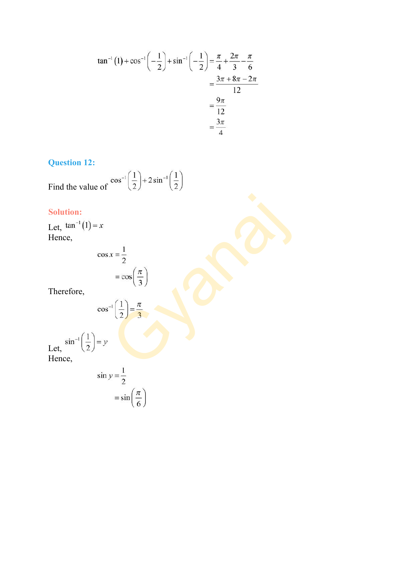$$
\tan^{-1}(1) + \cos^{-1}\left(-\frac{1}{2}\right) + \sin^{-1}\left(-\frac{1}{2}\right) = \frac{\pi}{4} + \frac{2\pi}{3} - \frac{\pi}{6}
$$

$$
= \frac{3\pi + 8\pi - 2\pi}{12}
$$

$$
= \frac{9\pi}{12}
$$

$$
= \frac{3\pi}{4}
$$

## **Question 12:**

Find the value of 
$$
\cos^{-1}\left(\frac{1}{2}\right) + 2\sin^{-1}\left(\frac{1}{2}\right)
$$

## **Solution:**

Let, Hence,

$$
\cos x = \frac{1}{2}
$$
  
\n
$$
= \cos \left(\frac{\pi}{3}\right)
$$
  
\n
$$
\cos^{-1} \left(\frac{1}{2}\right) = \frac{\pi}{3}
$$
  
\n
$$
= y
$$

Therefore,

$$
\cos^{-1}\left(\frac{1}{2}\right) = \frac{\pi}{3}
$$

 $= y$ Let, Hence,

$$
\sin y = \frac{1}{2}
$$

$$
= \sin\left(\frac{\pi}{6}\right)
$$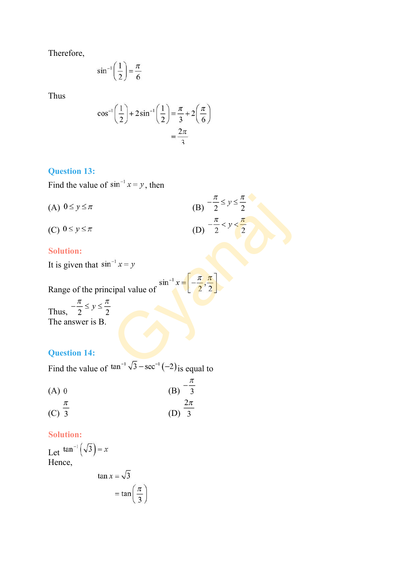Therefore,

$$
\sin^{-1}\left(\frac{1}{2}\right) = \frac{\pi}{6}
$$

Thus

$$
\cos^{-1}\left(\frac{1}{2}\right) + 2\sin^{-1}\left(\frac{1}{2}\right) = \frac{\pi}{3} + 2\left(\frac{\pi}{6}\right)
$$

$$
= \frac{2\pi}{3}
$$

#### **Question 13:**

Find the value of  $\sin^{-1} x = y$ , then

| (A) $0 \leq y \leq \pi$                                                                    | (B) $-\frac{\pi}{2} \le y \le \frac{\pi}{2}$ |
|--------------------------------------------------------------------------------------------|----------------------------------------------|
|                                                                                            | (D) $-\frac{\pi}{2} < y < \frac{\pi}{2}$     |
| (C) $0 \leq y \leq \pi$                                                                    |                                              |
| <b>Solution:</b>                                                                           |                                              |
| It is given that $\sin^{-1} x = y$                                                         |                                              |
|                                                                                            |                                              |
| Range of the principal value of $\sin^{-1} x = \left[-\frac{\pi}{2}, \frac{\pi}{2}\right]$ |                                              |
| Thus, $-\frac{\pi}{2} \le y \le \frac{\pi}{2}$                                             |                                              |
| The answer is B.                                                                           |                                              |
| <b>Question 14:</b>                                                                        |                                              |
| Find the volume of $\tan^{-1}\sqrt{3} - \sec^{-1}(-2)$ is equal to                         |                                              |

## **Solution:**

## **Question 14:**

Find the value of  $\tan^{-1}\sqrt{3} - \sec^{-1}(-2)$  is equal to

|         | $\iota$ |
|---------|---------|
| $(A)$ 0 | (B) 3   |
|         | $2\pi$  |
| $(C)$ 3 | $(D)$ 3 |

#### **Solution:**

Let  $\tan^{-1}(\sqrt{3}) = x$ Hence,

$$
\tan x = \sqrt{3}
$$

$$
= \tan \left( \frac{\pi}{3} \right)
$$